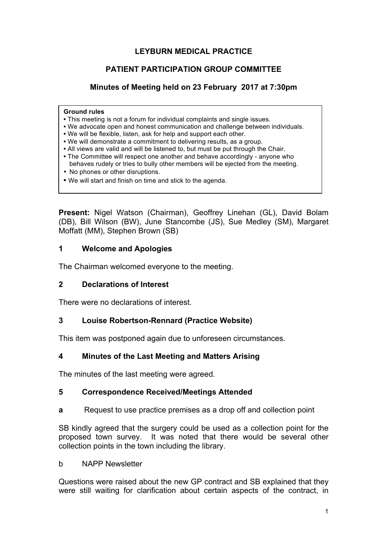### **LEYBURN MEDICAL PRACTICE**

## **PATIENT PARTICIPATION GROUP COMMITTEE**

### **Minutes of Meeting held on 23 February 2017 at 7:30pm**

#### **Ground rules**

- This meeting is not a forum for individual complaints and single issues.
- We advocate open and honest communication and challenge between individuals.
- We will be flexible, listen, ask for help and support each other.
- We will demonstrate a commitment to delivering results, as a group.
- All views are valid and will be listened to, but must be put through the Chair.
- The Committee will respect one another and behave accordingly anyone who behaves rudely or tries to bully other members will be ejected from the meeting.
- No phones or other disruptions.
- We will start and finish on time and stick to the agenda.

**Present:** Nigel Watson (Chairman), Geoffrey Linehan (GL), David Bolam (DB), Bill Wilson (BW), June Stancombe (JS), Sue Medley (SM), Margaret Moffatt (MM), Stephen Brown (SB)

#### **1 Welcome and Apologies**

The Chairman welcomed everyone to the meeting.

#### **2 Declarations of Interest**

There were no declarations of interest.

#### **3 Louise Robertson-Rennard (Practice Website)**

This item was postponed again due to unforeseen circumstances.

#### **4 Minutes of the Last Meeting and Matters Arising**

The minutes of the last meeting were agreed.

#### **5 Correspondence Received/Meetings Attended**

**a** Request to use practice premises as a drop off and collection point

SB kindly agreed that the surgery could be used as a collection point for the proposed town survey. It was noted that there would be several other collection points in the town including the library.

b NAPP Newsletter

Questions were raised about the new GP contract and SB explained that they were still waiting for clarification about certain aspects of the contract, in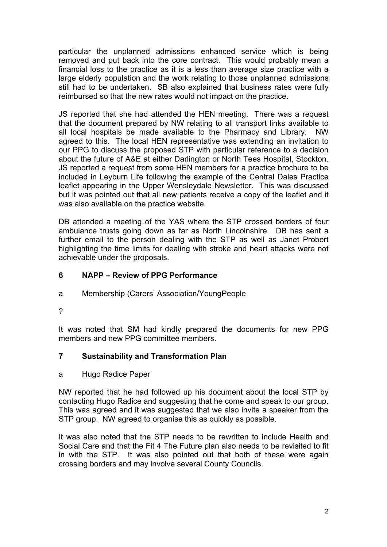particular the unplanned admissions enhanced service which is being removed and put back into the core contract. This would probably mean a financial loss to the practice as it is a less than average size practice with a large elderly population and the work relating to those unplanned admissions still had to be undertaken. SB also explained that business rates were fully reimbursed so that the new rates would not impact on the practice.

JS reported that she had attended the HEN meeting. There was a request that the document prepared by NW relating to all transport links available to all local hospitals be made available to the Pharmacy and Library. NW agreed to this. The local HEN representative was extending an invitation to our PPG to discuss the proposed STP with particular reference to a decision about the future of A&E at either Darlington or North Tees Hospital, Stockton. JS reported a request from some HEN members for a practice brochure to be included in Leyburn Life following the example of the Central Dales Practice leaflet appearing in the Upper Wensleydale Newsletter. This was discussed but it was pointed out that all new patients receive a copy of the leaflet and it was also available on the practice website.

DB attended a meeting of the YAS where the STP crossed borders of four ambulance trusts going down as far as North Lincolnshire. DB has sent a further email to the person dealing with the STP as well as Janet Probert highlighting the time limits for dealing with stroke and heart attacks were not achievable under the proposals.

## **6 NAPP – Review of PPG Performance**

- a Membership (Carers' Association/YoungPeople
- ?

It was noted that SM had kindly prepared the documents for new PPG members and new PPG committee members.

### **7 Sustainability and Transformation Plan**

a Hugo Radice Paper

NW reported that he had followed up his document about the local STP by contacting Hugo Radice and suggesting that he come and speak to our group. This was agreed and it was suggested that we also invite a speaker from the STP group. NW agreed to organise this as quickly as possible.

It was also noted that the STP needs to be rewritten to include Health and Social Care and that the Fit 4 The Future plan also needs to be revisited to fit in with the STP. It was also pointed out that both of these were again crossing borders and may involve several County Councils.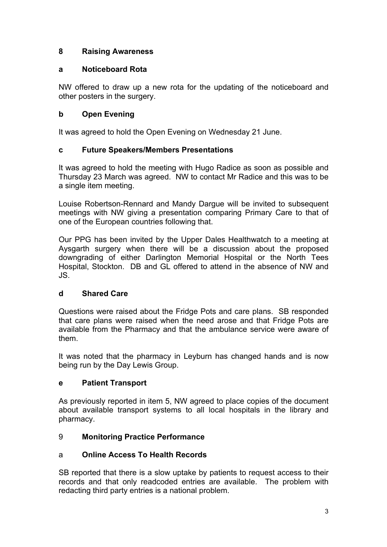## **8 Raising Awareness**

### **a Noticeboard Rota**

NW offered to draw up a new rota for the updating of the noticeboard and other posters in the surgery.

## **b Open Evening**

It was agreed to hold the Open Evening on Wednesday 21 June.

### **c Future Speakers/Members Presentations**

It was agreed to hold the meeting with Hugo Radice as soon as possible and Thursday 23 March was agreed. NW to contact Mr Radice and this was to be a single item meeting.

Louise Robertson-Rennard and Mandy Dargue will be invited to subsequent meetings with NW giving a presentation comparing Primary Care to that of one of the European countries following that.

Our PPG has been invited by the Upper Dales Healthwatch to a meeting at Aysgarth surgery when there will be a discussion about the proposed downgrading of either Darlington Memorial Hospital or the North Tees Hospital, Stockton. DB and GL offered to attend in the absence of NW and JS.

### **d Shared Care**

Questions were raised about the Fridge Pots and care plans. SB responded that care plans were raised when the need arose and that Fridge Pots are available from the Pharmacy and that the ambulance service were aware of them.

It was noted that the pharmacy in Leyburn has changed hands and is now being run by the Day Lewis Group.

### **e Patient Transport**

As previously reported in item 5, NW agreed to place copies of the document about available transport systems to all local hospitals in the library and pharmacy.

# 9 **Monitoring Practice Performance**

### a **Online Access To Health Records**

SB reported that there is a slow uptake by patients to request access to their records and that only readcoded entries are available. The problem with redacting third party entries is a national problem.